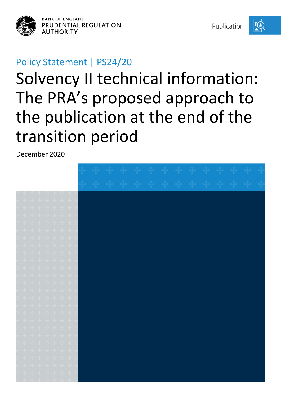

**BANK OF ENGLAND** PRUDENTIAL REGULATION **AUTHORITY** 

Publication



# Policy Statement | PS24/20

# Solvency II technical information: The PRA's proposed approach to the publication at the end of the transition period

December 2020

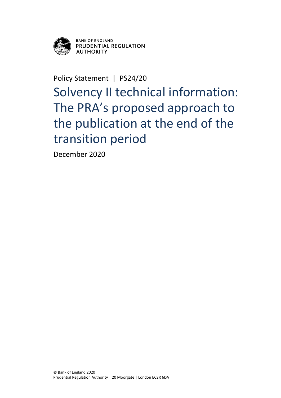

**BANK OF ENGLAND** PRUDENTIAL REGULATION **AUTHORITY** 

Policy Statement | PS24/20

Solvency II technical information: The PRA's proposed approach to the publication at the end of the transition period

December 2020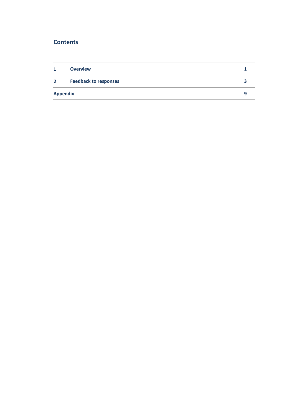### **Contents**

| 1               | <b>Overview</b>              |  |
|-----------------|------------------------------|--|
| $\mathbf{2}$    | <b>Feedback to responses</b> |  |
| <b>Appendix</b> |                              |  |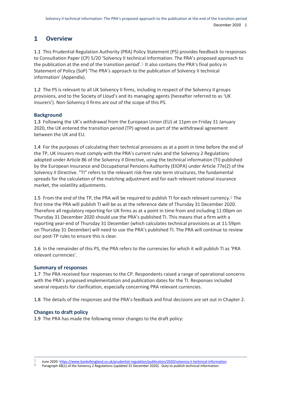#### <span id="page-3-0"></span> $\mathbf{1}$ **Overview**

1.1 This Prudential Regulation Authority (PRA) Policy Statement (PS) provides feedback to responses to Consultation Paper (CP) 5/20 'Solvency II technical information: The PRA's proposed approach to the publication at the end of the transition period'.1 It also contains the PRA's final policy in Statement of Policy (SoP) 'The PRA's approach to the publication of Solvency II technical information' (Appendix).

1.2 The PS is relevant to all UK Solvency II firms, including in respect of the Solvency II groups provisions, and to the Society of Lloyd's and its managing agents (hereafter referred to as 'UK insurers'). Non-Solvency II firms are out of the scope of this PS.

#### **Background**

1.3 Following the UK's withdrawal from the European Union (EU) at 11pm on Friday 31 January 2020, the UK entered the transition period (TP) agreed as part of the withdrawal agreement between the UK and EU.

1.4 For the purposes of calculating their technical provisions as at a point in time before the end of the TP, UK insurers must comply with the PRA's current rules and the Solvency 2 Regulations adopted under Article 86 of the Solvency II Directive, using the technical information (TI) published by the European Insurance and Occupational Pensions Authority (EIOPA) under Article 77e(2) of the Solvency II Directive. "TI" refers to the relevant risk-free rate term structures, the fundamental spreads for the calculation of the matching adjustment and for each relevant national insurance market, the volatility adjustments.

1.5 From the end of the TP, the PRA will be required to publish TI for each relevant currency.2 The first time the PRA will publish TI will be as at the reference date of Thursday 31 December 2020. Therefore all regulatory reporting for UK firms as at a point in time from and including 11:00pm on Thursday 31 December 2020 should use the PRA's published TI. This means that a firm with a reporting year-end of Thursday 31 December (which calculates technical provisions as at 11:59pm on Thursday 31 December) will need to use the PRA's published TI. The PRA will continue to review our post-TP rules to ensure this is clear.

1.6 In the remainder of this PS, the PRA refers to the currencies for which it will publish TI as 'PRA relevant currencies'.

#### **Summary of responses**

1.7 The PRA received four responses to the CP. Respondents raised a range of operational concerns with the PRA's proposed implementation and publication dates for the TI. Responses included several requests for clarification, especially concerning PRA relevant currencies.

1.8 The details of the responses and the PRA's feedback and final decisions are set out in Chapter 2.

#### **Changes to draft policy**

1

1.9 The PRA has made the following minor changes to the draft policy:

2 Paragraph 4B(1) of the Solvency 2 Regulations (updated 31 December 2020) - Duty to publish technical information.

<sup>1</sup> June 2020[: https://www.bankofengland.co.uk/prudential-regulation/publication/2020/solvency-ii-technical-information.](https://www.bankofengland.co.uk/prudential-regulation/publication/2020/solvency-ii-technical-information)<br>2 Baragraph 48(1) of the Solvency 2 Bogulations (undated 21 December 2020) - Duty to publish technical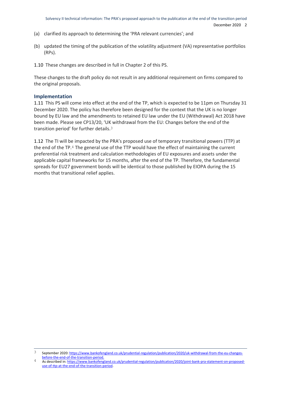- (a) clarified its approach to determining the 'PRA relevant currencies'; and
- (b) updated the timing of the publication of the volatility adjustment (VA) representative portfolios (RPs).
- 1.10 These changes are described in full in Chapter 2 of this PS.

These changes to the draft policy do not result in any additional requirement on firms compared to the original proposals.

#### **Implementation**

1.11 This PS will come into effect at the end of the TP, which is expected to be 11pm on Thursday 31 December 2020. The policy has therefore been designed for the context that the UK is no longer bound by EU law and the amendments to retained EU law under the EU (Withdrawal) Act 2018 have been made. Please see CP13/20, 'UK withdrawal from the EU: Changes before the end of the transition period' for further details.3

1.12 The TI will be impacted by the PRA's proposed use of temporary transitional powers (TTP) at the end of the TP.4 The general use of the TTP would have the effect of maintaining the current preferential risk treatment and calculation methodologies of EU exposures and assets under the applicable capital frameworks for 15 months, after the end of the TP. Therefore, the fundamental spreads for EU27 government bonds will be identical to those published by EIOPA during the 15 months that transitional relief applies.

<sup>1</sup> 3 September 2020[: https://www.bankofengland.co.uk/prudential-regulation/publication/2020/uk-withdrawal-from-the-eu-changes](https://www.bankofengland.co.uk/prudential-regulation/publication/2020/uk-withdrawal-from-the-eu-changes-before-the-end-of-the-transition-period)[before-the-end-of-the-transition-period.](https://www.bankofengland.co.uk/prudential-regulation/publication/2020/uk-withdrawal-from-the-eu-changes-before-the-end-of-the-transition-period)

<sup>4</sup> As described in[: https://www.bankofengland.co.uk/prudential-regulation/publication/2020/joint-bank-pra-statement-on-proposed](https://www.bankofengland.co.uk/prudential-regulation/publication/2020/joint-bank-pra-statement-on-proposed-use-of-ttp-at-the-end-of-the-transition-period)[use-of-ttp-at-the-end-of-the-transition-period.](https://www.bankofengland.co.uk/prudential-regulation/publication/2020/joint-bank-pra-statement-on-proposed-use-of-ttp-at-the-end-of-the-transition-period)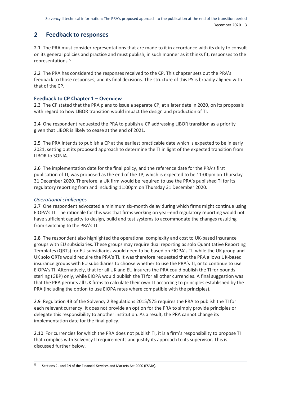#### <span id="page-5-0"></span> $2<sup>1</sup>$ **Feedback to responses**

2.1 The PRA must consider representations that are made to it in accordance with its duty to consult on its general policies and practice and must publish, in such manner as it thinks fit, responses to the representations.5

2.2 The PRA has considered the responses received to the CP. This chapter sets out the PRA's feedback to those responses, and its final decisions. The structure of this PS is broadly aligned with that of the CP.

#### **Feedback to CP Chapter 1 – Overview**

2.3 The CP stated that the PRA plans to issue a separate CP, at a later date in 2020, on its proposals with regard to how LIBOR transition would impact the design and production of TI.

2.4 One respondent requested the PRA to publish a CP addressing LIBOR transition as a priority given that LIBOR is likely to cease at the end of 2021.

2.5 The PRA intends to publish a CP at the earliest practicable date which is expected to be in early 2021, setting out its proposed approach to determine the TI in light of the expected transition from LIBOR to SONIA.

2.6 The implementation date for the final policy, and the reference date for the PRA's first publication of TI, was proposed as the end of the TP, which is expected to be 11:00pm on Thursday 31 December 2020. Therefore, a UK firm would be required to use the PRA's published TI for its regulatory reporting from and including 11:00pm on Thursday 31 December 2020.

#### *Operational challenges*

2.7 One respondent advocated a minimum six-month delay during which firms might continue using EIOPA's TI. The rationale for this was that firms working on year-end regulatory reporting would not have sufficient capacity to design, build and test systems to accommodate the changes resulting from switching to the PRA's TI.

2.8 The respondent also highlighted the operational complexity and cost to UK-based insurance groups with EU subsidiaries. These groups may require dual reporting as solo Quantitative Reporting Templates (QRTs) for EU subsidiaries would need to be based on EIOPA's TI, while the UK group and UK solo QRTs would require the PRA's TI. It was therefore requested that the PRA allows UK-based insurance groups with EU subsidiaries to choose whether to use the PRA's TI, or to continue to use EIOPA's TI. Alternatively, that for all UK and EU insurers the PRA could publish the TI for pounds sterling (GBP) only, while EIOPA would publish the TI for all other currencies. A final suggestion was that the PRA permits all UK firms to calculate their own TI according to principles established by the PRA (including the option to use EIOPA rates where compatible with the principles).

2.9 Regulation 4B of the Solvency 2 Regulations 2015/575 requires the PRA to publish the TI for each relevant currency. It does not provide an option for the PRA to simply provide principles or delegate this responsibility to another institution. As a result, the PRA cannot change its implementation date for the final policy.

2.10 For currencies for which the PRA does not publish TI, it is a firm's responsibility to propose TI that complies with Solvency II requirements and justify its approach to its supervisor. This is discussed further below.

 $\overline{5}$ 5 Sections 2L and 2N of the Financial Services and Markets Act 2000 (FSMA).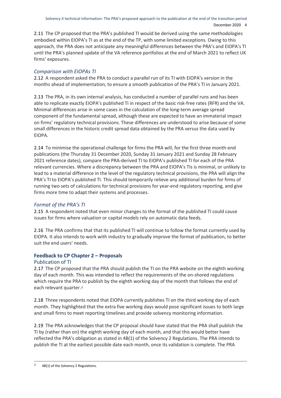2.11 The CP proposed that the PRA's published TI would be derived using the same methodologies embodied within EIOPA's TI as at the end of the TP, with some limited exceptions. Owing to this approach, the PRA does not anticipate any meaningful differences between the PRA's and EIOPA's TI until the PRA's planned update of the VA reference portfolios at the end of March 2021 to reflect UK firms' exposures.

#### *Comparison with EIOPAs TI*

2.12 A respondent asked the PRA to conduct a parallel run of its TI with EIOPA's version in the months ahead of implementation, to ensure a smooth publication of the PRA's TI in January 2021.

2.13 The PRA, in its own internal analysis, has conducted a number of parallel runs and has been able to replicate exactly EIOPA's published TI in respect of the basic risk-free rates (RFR) and the VA. Minimal differences arise in some cases in the calculation of the long-term average spread component of the fundamental spread, although these are expected to have an immaterial impact on firms' regulatory technical provisions. These differences are understood to arise because of some small differences in the historic credit spread data obtained by the PRA versus the data used by EIOPA.

2.14 To minimise the operational challenge for firms the PRA will, for the first three month-end publications (the Thursday 31 December 2020, Sunday 31 January 2021 and Sunday 28 February 2021 reference dates), compare the PRA-derived TI to EIOPA's published TI for each of the PRA relevant currencies. Where a discrepancy between the PRA and EIOPA's TIs is minimal, or unlikely to lead to a material difference in the level of the regulatory technical provisions, the PRA will align the PRA's TI to EIOPA's published TI. This should temporarily relieve any additional burden for firms of running two sets of calculations for technical provisions for year-end regulatory reporting, and give firms more time to adapt their systems and processes.

#### *Format of the PRA's TI*

2.15 A respondent noted that even minor changes to the format of the published TI could cause issues for firms where valuation or capital models rely on automatic data feeds.

2.16 The PRA confirms that that its published TI will continue to follow the format currently used by EIOPA. It also intends to work with industry to gradually improve the format of publication, to better suit the end users' needs.

#### **Feedback to CP Chapter 2 – Proposals**

#### Publication of TI

2.17 The CP proposed that the PRA should publish the TI on the PRA website on the eighth working day of each month. This was intended to reflect the requirements of the on-shored regulations which require the PRA to publish by the eighth working day of the month that follows the end of each relevant quarter.6

2.18 Three respondents noted that EIOPA currently publishes TI on the third working day of each month. They highlighted that the extra five working days would pose significant issues to both large and small firms to meet reporting timelines and provide solvency monitoring information.

2.19 The PRA acknowledges that the CP proposal should have stated that the PRA shall publish the TI by (rather than on) the eighth working day of each month, and that this would better have reflected the PRA's obligation as stated in 4B(1) of the Solvency 2 Regulations. The PRA intends to publish the TI at the earliest possible date each month, once its validation is complete. The PRA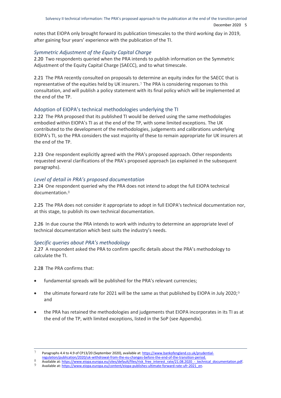notes that EIOPA only brought forward its publication timescales to the third working day in 2019, after gaining four years' experience with the publication of the TI.

#### *Symmetric Adjustment of the Equity Capital Charge*

2.20 Two respondents queried when the PRA intends to publish information on the Symmetric Adjustment of the Equity Capital Charge (SAECC), and to what timescale.

2.21 The PRA recently consulted on proposals to determine an equity index for the SAECC that is representative of the equities held by UK insurers.7 The PRA is considering responses to this consultation, and will publish a policy statement with its final policy which will be implemented at the end of the TP.

#### Adoption of EIOPA's technical methodologies underlying the TI

2.22 The PRA proposed that its published TI would be derived using the same methodologies embodied within EIOPA's TI as at the end of the TP, with some limited exceptions. The UK contributed to the development of the methodologies, judgements and calibrations underlying EIOPA's TI, so the PRA considers the vast majority of these to remain appropriate for UK insurers at the end of the TP.

2.23 One respondent explicitly agreed with the PRA's proposed approach. Other respondents requested several clarifications of the PRA's proposed approach (as explained in the subsequent paragraphs).

#### *Level of detail in PRA's proposed documentation*

2.24 One respondent queried why the PRA does not intend to adopt the full EIOPA technical documentation.8

2.25 The PRA does not consider it appropriate to adopt in full EIOPA's technical documentation nor, at this stage, to publish its own technical documentation.

2.26 In due course the PRA intends to work with industry to determine an appropriate level of technical documentation which best suits the industry's needs.

#### *Specific queries about PRA's methodology*

2.27 A respondent asked the PRA to confirm specific details about the PRA's methodology to calculate the TI.

2.28 The PRA confirms that:

1

- fundamental spreads will be published for the PRA's relevant currencies;
- the ultimate forward rate for 2021 will be the same as that published by EIOPA in July 2020;<sup>9</sup> and
- the PRA has retained the methodologies and judgements that EIOPA incorporates in its TI as at the end of the TP, with limited exceptions, listed in the SoP (see Appendix).

Paragraphs 4.4 to 4.9 of CP13/20 (September 2020), available at[: https://www.bankofengland.co.uk/prudential-](https://www.bankofengland.co.uk/prudential-regulation/publication/2020/uk-withdrawal-from-the-eu-changes-before-the-end-of-the-transition-period)

[regulation/publication/2020/uk-withdrawal-from-the-eu-changes-before-the-end-of-the-transition-period.](https://www.bankofengland.co.uk/prudential-regulation/publication/2020/uk-withdrawal-from-the-eu-changes-before-the-end-of-the-transition-period)

<sup>8</sup> Available at: https://www.eiopa.europa.eu/sites/default/files/risk\_free\_interest\_rate/21.08.2020\_-\_technical\_documentation.pdf.

Available at[: https://www.eiopa.europa.eu/content/eiopa-publishes-ultimate-forward-rate-ufr-2021\\_en.](https://www.eiopa.europa.eu/content/eiopa-publishes-ultimate-forward-rate-ufr-2021_en#:~:text=EIOPA%20calculated%20the%20ultimate%20forward,January%202021%20will%20be%203.6%25.)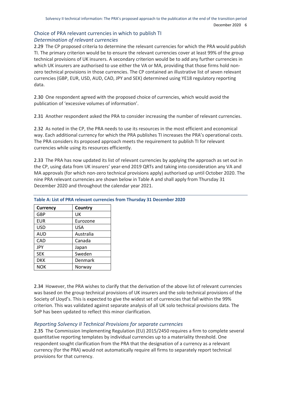#### Choice of PRA relevant currencies in which to publish TI *Determination of relevant currencies*

2.29 The CP proposed criteria to determine the relevant currencies for which the PRA would publish TI. The primary criterion would be to ensure the relevant currencies cover at least 99% of the group technical provisions of UK insurers. A secondary criterion would be to add any further currencies in which UK insurers are authorised to use either the VA or MA, providing that those firms hold nonzero technical provisions in those currencies. The CP contained an illustrative list of seven relevant currencies (GBP, EUR, USD, AUD, CAD, JPY and SEK) determined using YE18 regulatory reporting data.

2.30 One respondent agreed with the proposed choice of currencies, which would avoid the publication of 'excessive volumes of information'.

2.31 Another respondent asked the PRA to consider increasing the number of relevant currencies.

2.32 As noted in the CP, the PRA needs to use its resources in the most efficient and economical way. Each additional currency for which the PRA publishes TI increases the PRA's operational costs. The PRA considers its proposed approach meets the requirement to publish TI for relevant currencies while using its resources efficiently.

2.33 The PRA has now updated its list of relevant currencies by applying the approach as set out in the CP, using data from UK insurers' year-end 2019 QRTs and taking into consideration any VA and MA approvals (for which non-zero technical provisions apply) authorised up until October 2020. The nine PRA relevant currencies are shown below in Table A and shall apply from Thursday 31 December 2020 and throughout the calendar year 2021.

| Currency   | Country    |
|------------|------------|
| GBP        | UK         |
| <b>EUR</b> | Eurozone   |
| <b>USD</b> | <b>USA</b> |
| AUD        | Australia  |
| CAD        | Canada     |
| <b>JPY</b> | Japan      |
| <b>SEK</b> | Sweden     |
| <b>DKK</b> | Denmark    |
| <b>NOK</b> | Norway     |

**Table A: List of PRA relevant currencies from Thursday 31 December 2020** 

2.34 However, the PRA wishes to clarify that the derivation of the above list of relevant currencies was based on the group technical provisions of UK insurers and the solo technical provisions of the Society of Lloyd's. This is expected to give the widest set of currencies that fall within the 99% criterion. This was validated against separate analysis of all UK solo technical provisions data. The SoP has been updated to reflect this minor clarification.

#### *Reporting Solvency II Technical Provisions for separate currencies*

2.35 The Commission Implementing Regulation (EU) 2015/2450 requires a firm to complete several quantitative reporting templates by individual currencies up to a materiality threshold. One respondent sought clarification from the PRA that the designation of a currency as a relevant currency (for the PRA) would not automatically require all firms to separately report technical provisions for that currency.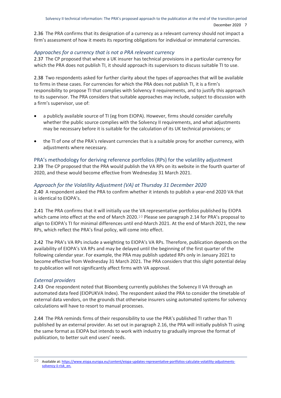2.36 The PRA confirms that its designation of a currency as a relevant currency should not impact a firm's assessment of how it meets its reporting obligations for individual or immaterial currencies.

#### *Approaches for a currency that is not a PRA relevant currency*

2.37 The CP proposed that where a UK insurer has technical provisions in a particular currency for which the PRA does not publish TI, it should approach its supervisors to discuss suitable TI to use.

2.38 Two respondents asked for further clarity about the types of approaches that will be available to firms in these cases. For currencies for which the PRA does not publish TI, it is a firm's responsibility to propose TI that complies with Solvency II requirements, and to justify this approach to its supervisor. The PRA considers that suitable approaches may include, subject to discussion with a firm's supervisor, use of:

- a publicly available source of TI (eg from EIOPA). However, firms should consider carefully whether the public source complies with the Solvency II requirements, and what adjustments may be necessary before it is suitable for the calculation of its UK technical provisions; or
- the TI of one of the PRA's relevant currencies that is a suitable proxy for another currency, with adjustments where necessary.

PRA's methodology for deriving reference portfolios (RPs) for the volatility adjustment 2.39 The CP proposed that the PRA would publish the VA RPs on its website in the fourth quarter of 2020, and these would become effective from Wednesday 31 March 2021.

#### *Approach for the Volatility Adjustment (VA) at Thursday 31 December 2020*

2.40 A respondent asked the PRA to confirm whether it intends to publish a year-end 2020 VA that is identical to EIOPA's.

2.41 The PRA confirms that it will initially use the VA representative portfolios published by EIOPA which came into effect at the end of March 2020.<sup>10</sup> Please see paragraph 2.14 for PRA's proposal to align to EIOPA's TI for minimal differences until end-March 2021. At the end of March 2021, the new RPs, which reflect the PRA's final policy, will come into effect.

2.42 The PRA's VA RPs include a weighting to EIOPA's VA RPs. Therefore, publication depends on the availability of EIOPA's VA RPs and may be delayed until the beginning of the first quarter of the following calendar year. For example, the PRA may publish updated RPs only in January 2021 to become effective from Wednesday 31 March 2021. The PRA considers that this slight potential delay to publication will not significantly affect firms with VA approval.

#### *External providers*

2.43 One respondent noted that Bloomberg currently publishes the Solvency II VA through an automated data feed (EIOPUKVA Index). The respondent asked the PRA to consider the timetable of external data vendors, on the grounds that otherwise insurers using automated systems for solvency calculations will have to resort to manual processes.

2.44 The PRA reminds firms of their responsibility to use the PRA's published TI rather than TI published by an external provider. As set out in paragraph 2.16, the PRA will initially publish TI using the same format as EIOPA but intends to work with industry to gradually improve the format of publication, to better suit end users' needs.

<sup>1</sup> 10 Available at[: https://www.eiopa.europa.eu/content/eiopa-updates-representative-portfolios-calculate-volatility-adjustments](https://www.eiopa.europa.eu/content/eiopa-updates-representative-portfolios-calculate-volatility-adjustments-solvency-ii-risk_en)[solvency-ii-risk\\_en.](https://www.eiopa.europa.eu/content/eiopa-updates-representative-portfolios-calculate-volatility-adjustments-solvency-ii-risk_en)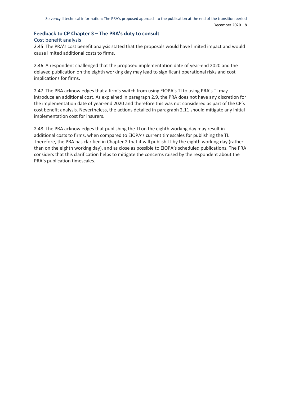#### **Feedback to CP Chapter 3 – The PRA's duty to consult**

#### Cost benefit analysis

2.45 The PRA's cost benefit analysis stated that the proposals would have limited impact and would cause limited additional costs to firms.

2.46 A respondent challenged that the proposed implementation date of year-end 2020 and the delayed publication on the eighth working day may lead to significant operational risks and cost implications for firms.

2.47 The PRA acknowledges that a firm's switch from using EIOPA's TI to using PRA's TI may introduce an additional cost. As explained in paragraph 2.9, the PRA does not have any discretion for the implementation date of year-end 2020 and therefore this was not considered as part of the CP's cost benefit analysis. Nevertheless, the actions detailed in paragraph 2.11 should mitigate any initial implementation cost for insurers.

2.48 The PRA acknowledges that publishing the TI on the eighth working day may result in additional costs to firms, when compared to EIOPA's current timescales for publishing the TI. Therefore, the PRA has clarified in Chapter 2 that it will publish TI by the eighth working day (rather than on the eighth working day), and as close as possible to EIOPA's scheduled publications. The PRA considers that this clarification helps to mitigate the concerns raised by the respondent about the PRA's publication timescales.